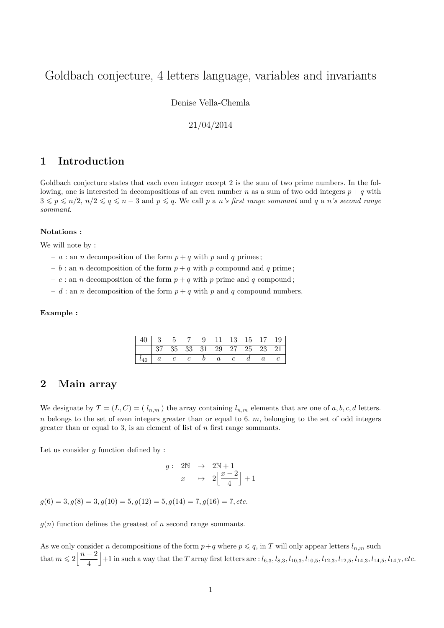# Goldbach conjecture, 4 letters language, variables and invariants

Denise Vella-Chemla

### 21/04/2014

## **1 Introduction**

Goldbach conjecture states that each even integer except 2 is the sum of two prime numbers. In the following, one is interested in decompositions of an even number *n* as a sum of two odd integers  $p + q$  with  $3 \leqslant p \leqslant n/2, n/2 \leqslant q \leqslant n-3$  and  $p \leqslant q$ . We call p a *n*'s first range sommant and q a *n*'s second range *sommant*.

#### **Notations :**

We will note by :

- *a* : an *n* decomposition of the form  $p + q$  with *p* and *q* primes;
- $b :$  an *n* decomposition of the form  $p + q$  with *p* compound and *q* prime;
- $-c:$  an *n* decomposition of the form  $p + q$  with *p* prime and *q* compound;
- $d$ : an *n* decomposition of the form  $p + q$  with *p* and *q* compound numbers.

#### **Example :**

| 40   3   5   7   9   11   13   15   17   19                                                             |  |  |  |  |  |
|---------------------------------------------------------------------------------------------------------|--|--|--|--|--|
|                                                                                                         |  |  |  |  |  |
| $\begin{array}{ c ccccccccccc } \hline l_{40} & a & c & c & b & a & c & d & a & c \ \hline \end{array}$ |  |  |  |  |  |

## **2 Main array**

We designate by  $T = (L, C) = (l_{n,m})$  the array containing  $l_{n,m}$  elements that are one of  $a, b, c, d$  letters. *n* belongs to the set of even integers greater than or equal to 6. *m*, belonging to the set of odd integers greater than or equal to 3, is an element of list of *n* first range sommants.

Let us consider *g* function defined by :

$$
g: \begin{array}{rcl} 2\mathbb{N} & \rightarrow & 2\mathbb{N} + 1 \\ x & \mapsto & 2\left\lfloor \frac{x-2}{4} \right\rfloor + 1 \end{array}
$$

 $q(6) = 3, q(8) = 3, q(10) = 5, q(12) = 5, q(14) = 7, q(16) = 7, etc.$ 

 $g(n)$  function defines the greatest of *n* second range sommants.

As we only consider *n* decompositions of the form  $p+q$  where  $p \leq q$ , in *T* will only appear letters  $l_{n,m}$  such that  $m \leqslant 2 \left| \frac{n-2}{4} \right|$ 4  $+1$  in such a way that the T array first letters are :  $l_{6,3}, l_{8,3}, l_{10,3}, l_{10,5}, l_{12,3}, l_{12,5}, l_{14,3}, l_{14,5}, l_{14,7}, etc.$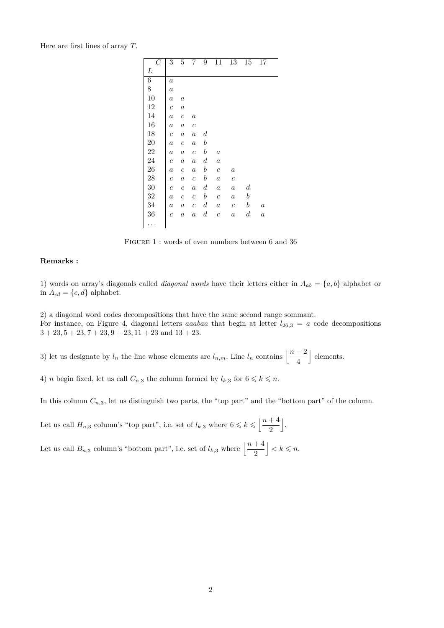Here are first lines of array *T*.

| $\overline{C}$ | 3                     | 5                | 7                | 9                | 11               | 13               |                  |                  |  |
|----------------|-----------------------|------------------|------------------|------------------|------------------|------------------|------------------|------------------|--|
|                |                       |                  |                  |                  |                  |                  | 15               | 17               |  |
| L              |                       |                  |                  |                  |                  |                  |                  |                  |  |
| 6              | $\boldsymbol{a}$      |                  |                  |                  |                  |                  |                  |                  |  |
| 8              | $\boldsymbol{a}$      |                  |                  |                  |                  |                  |                  |                  |  |
| 10             | $\boldsymbol{a}$      | $\boldsymbol{a}$ |                  |                  |                  |                  |                  |                  |  |
| 12             | $\boldsymbol{c}$      | $\boldsymbol{a}$ |                  |                  |                  |                  |                  |                  |  |
| 14             | $\boldsymbol{a}$      | $\boldsymbol{c}$ | $\boldsymbol{a}$ |                  |                  |                  |                  |                  |  |
| 16             | $\boldsymbol{a}$      | $\boldsymbol{a}$ | $\boldsymbol{c}$ |                  |                  |                  |                  |                  |  |
| 18             | $\mathcal{C}_{0}^{2}$ | $\boldsymbol{a}$ | $\boldsymbol{a}$ | $\boldsymbol{d}$ |                  |                  |                  |                  |  |
| 20             | $\it a$               | $\boldsymbol{c}$ | $\boldsymbol{a}$ | $\boldsymbol{b}$ |                  |                  |                  |                  |  |
| 22             | $\boldsymbol{a}$      | $\it a$          | $\boldsymbol{c}$ | $\boldsymbol{b}$ | $\boldsymbol{a}$ |                  |                  |                  |  |
| 24             | $\boldsymbol{c}$      | $\it a$          | $\boldsymbol{a}$ | $\boldsymbol{d}$ | $\boldsymbol{a}$ |                  |                  |                  |  |
| 26             | $\it a$               | $\boldsymbol{c}$ | $\boldsymbol{a}$ | $\boldsymbol{b}$ | $\boldsymbol{c}$ | $\boldsymbol{a}$ |                  |                  |  |
| 28             | $\boldsymbol{c}$      | $\boldsymbol{a}$ | $\boldsymbol{c}$ | $\boldsymbol{b}$ | $\boldsymbol{a}$ | $\boldsymbol{c}$ |                  |                  |  |
| 30             | $\boldsymbol{c}$      | $\boldsymbol{c}$ | $\boldsymbol{a}$ | $\boldsymbol{d}$ | $\boldsymbol{a}$ | $\boldsymbol{a}$ | $\boldsymbol{d}$ |                  |  |
| 32             | $\boldsymbol{a}$      | $\boldsymbol{c}$ | $\boldsymbol{c}$ | $\boldsymbol{b}$ | $\boldsymbol{c}$ | $\it a$          | $\boldsymbol{b}$ |                  |  |
| 34             | $\boldsymbol{a}$      | $\it a$          | $\boldsymbol{c}$ | $\boldsymbol{d}$ | $\it a$          | $\boldsymbol{c}$ | $\boldsymbol{b}$ | $\boldsymbol{a}$ |  |
| 36             | $\overline{c}$        | $\it a$          | $\boldsymbol{a}$ | $_{d}$           | $\boldsymbol{c}$ | $\boldsymbol{a}$ | $_{d}$           | $\boldsymbol{a}$ |  |
|                |                       |                  |                  |                  |                  |                  |                  |                  |  |

FIGURE 1 : words of even numbers between 6 and 36

#### **Remarks :**

1) words on array's diagonals called *diagonal words* have their letters either in  $A_{ab} = \{a, b\}$  alphabet or in  $A_{cd} = \{c, d\}$  alphabet.

2) a diagonal word codes decompositions that have the same second range sommant. For instance, on Figure 4, diagonal letters *aaabaa* that begin at letter  $l_{26,3} = a$  code decompositions  $3 + 23$ ,  $5 + 23$ ,  $7 + 23$ ,  $9 + 23$ ,  $11 + 23$  and  $13 + 23$ .

3) let us designate by  $l_n$  the line whose elements are  $l_{n,m}$ . Line  $l_n$  contains  $\left\lfloor \frac{n-2}{4} \right\rfloor$ | elements.

4) *n* begin fixed, let us call  $C_{n,3}$  the column formed by  $l_{k,3}$  for  $6 \leq k \leq n$ .

In this column  $C_{n,3}$ , let us distinguish two parts, the "top part" and the "bottom part" of the column.

Let us call  $H_{n,3}$  column's "top part", i.e. set of  $l_{k,3}$  where  $6 \leq k \leq \left\lfloor \frac{n+4}{2} \right\rfloor$ 2 k .

Let us call  $B_{n,3}$  column's "bottom part", i.e. set of  $l_{k,3}$  where  $\left\lfloor \frac{n+4}{2} \right\rfloor$  $\vert < k \leqslant n$ .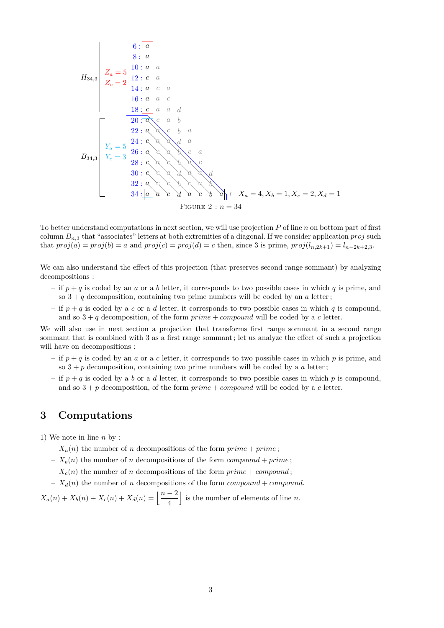$$
H_{34,3} \begin{bmatrix}\n & 6: & a \\
 & 8: & a \\
 & 2a = 5 & 12 & a \\
 & 2c = 2 & 12 & c \\
 & & 14: & a & c \\
 & & 16: & a & c \\
 & & & 18: & c & a \\
 & & & 20: & a & c \\
 & & & 22: & a & c \\
 & & & 24: & a & c \\
 & & & 25: & a & c \\
 & & & 26: & a & c \\
 & & & 28: & a & c \\
 & & & 29: & a & c \\
 & & & 30: & a & c \\
 & & & 32: & a & c & b \\
 & & & 34: & a & c & d\n\end{bmatrix}
$$
\n
$$
H_{34,3} \begin{bmatrix}\n & 6: & a \\
 & 2 & 12 & 12 & 12 & 12 \\
 & 2 & 2 & 2 & 2 & 2 \\
 & 2 & 2 & 2 & 2 & 2 \\
 & 2 & 2 & 2 & 2 & 2 \\
 & 2 & 2 & 2 & 2 & 2 \\
 & 2 & 2 & 2 & 2 & 2 \\
 & 2 & 2 & 2 & 2 & 2 \\
 & 2 & 2 & 2 & 2 & 2 \\
 & 2 & 2 & 2 & 2 & 2 \\
 & 2 & 2 & 2 & 2 & 2 \\
 & 2 & 2 & 2 & 2 & 2 \\
 & 2 & 2 & 2 & 2 & 2 \\
 & 2 & 2 & 2 & 2 & 2 \\
 & 2 & 2 & 2 & 2 & 2 \\
 & 2 & 2 & 2 & 2 & 2 \\
 & 2 & 2 & 2 & 2 & 2 \\
 & 2 & 2 & 2 & 2 & 2 \\
 & 2 & 2 & 2 & 2 & 2 \\
 & 2 & 2 & 2 & 2 & 2 \\
 & 2 & 2 & 2 & 2 & 2 \\
 & 2 & 2 & 2 & 2 & 2 \\
 & 2 & 2 & 2 & 2 & 2 \\
 & 2 & 2 & 2 & 2 & 2 \\
 & 2 & 2 & 2 & 2 & 2 \\
 & 2 & 2 & 2 & 2 & 2 \\
 & 2 & 2 & 2 & 2 & 2 \\
 & 2 & 2 & 2 & 2 & 2 \\
 & 2 & 2 & 2 & 2 & 2 \\
 & 2 & 2 & 2 & 2 & 2 \\
 & 2 & 2 & 2 & 2 & 2 \\
 & 2 & 2 & 2 & 2 & 2 \\
 & 2 & 2 & 2
$$

To better understand computations in next section, we will use projection *P* of line *n* on bottom part of first column *Bn,*<sup>3</sup> that "associates" letters at both extremities of a diagonal. If we consider application *proj* such that  $proj(a) = proj(b) = a$  and  $proj(c) = proj(d) = c$  then, since 3 is prime,  $proj(l_{n,2k+1}) = l_{n-2k+2,3}$ .

We can also understand the effect of this projection (that preserves second range sommant) by analyzing decompositions :

- if  $p + q$  is coded by an *a* or a *b* letter, it corresponds to two possible cases in which *q* is prime, and so  $3 + q$  decomposition, containing two prime numbers will be coded by an *a* letter;
- if  $p + q$  is coded by a *c* or a *d* letter, it corresponds to two possible cases in which *q* is compound, and so  $3 + q$  decomposition, of the form  $prime + compound$  will be coded by a *c* letter.

We will also use in next section a projection that transforms first range sommant in a second range sommant that is combined with 3 as a first range sommant ; let us analyze the effect of such a projection will have on decompositions :

- if  $p + q$  is coded by an *a* or a *c* letter, it corresponds to two possible cases in which *p* is prime, and so  $3 + p$  decomposition, containing two prime numbers will be coded by a *a* letter;
- if  $p + q$  is coded by a *b* or a *d* letter, it corresponds to two possible cases in which *p* is compound, and so  $3 + p$  decomposition, of the form  $prime + compound$  will be coded by a *c* letter.

# **3 Computations**

1) We note in line *n* by :

- $-X_a(n)$  the number of *n* decompositions of the form  $\text{prime} + \text{prime}$ ;
- $-X_b(n)$  the number of *n* decompositions of the form *compound* + *prime*;
- $-X_c(n)$  the number of *n* decompositions of the form  $prime + compound$ ;

 $-X_d(n)$  the number of *n* decompositions of the form *compound* + *compound*.

 $X_a(n) + X_b(n) + X_c(n) + X_d(n) = \left\lfloor \frac{n-2}{4} \right\rfloor$ is the number of elements of line  $n$ .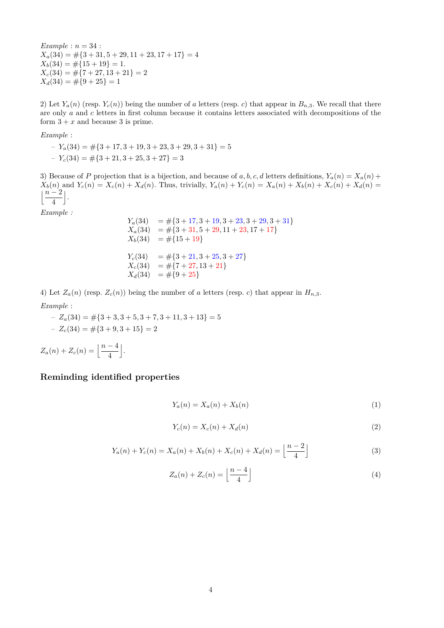*Example* : *n* = 34 :  $X_a(34) = \#\{3 + 31, 5 + 29, 11 + 23, 17 + 17\} = 4$  $X_b(34) = \#\{15 + 19\} = 1.$  $X_c(34) = \#\{7 + 27, 13 + 21\} = 2$  $X_d(34) = \#\{9+25\} = 1$ 

2) Let  $Y_a(n)$  (resp.  $Y_c(n)$ ) being the number of *a* letters (resp. *c*) that appear in  $B_{n,3}$ . We recall that there are only *a* and *c* letters in first column because it contains letters associated with decompositions of the form  $3 + x$  and because 3 is prime.

*Example* :

$$
-Y_a(34) = #{3 + 17, 3 + 19, 3 + 23, 3 + 29, 3 + 31} = 5
$$
  

$$
-Y_c(34) = #{3 + 21, 3 + 25, 3 + 27} = 3
$$

3) Because of *P* projection that is a bijection, and because of *a*, *b*, *c*, *d* letters definitions,  $Y_a(n) = X_a(n) +$  $X_b(n)$  and  $Y_c(n) = X_c(n) + X_d(n)$ . Thus, trivially,  $Y_a(n) + Y_c(n) = X_a(n) + X_b(n) + X_c(n) + X_d(n) =$ j*n* − 2 4  $\vert$ .

*Example :*

$$
Y_a(34) = #{3 + 17, 3 + 19, 3 + 23, 3 + 29, 3 + 31}
$$
  
\n
$$
X_a(34) = #{3 + 31, 5 + 29, 11 + 23, 17 + 17}
$$
  
\n
$$
X_b(34) = #{15 + 19}
$$
  
\n
$$
Y_c(34) = #{3 + 21, 3 + 25, 3 + 27}
$$
  
\n
$$
X_c(34) = #{7 + 27, 13 + 21}
$$
  
\n
$$
X_d(34) = #{9 + 25}
$$

4) Let  $Z_a(n)$  (resp.  $Z_c(n)$ ) being the number of *a* letters (resp. *c*) that appear in  $H_{n,3}$ . *Example* :

– *Za*(34) = #{3 + 3*,* 3 + 5*,* 3 + 7*,* 3 + 11*,* 3 + 13} = 5  $Z_c(34) = \#\{3+9,3+15\} = 2$  $Z_a(n) + Z_c(n) = \left[\frac{n-4}{4}\right]$ 

k .

## **Reminding identified properties**

$$
Y_a(n) = X_a(n) + X_b(n) \tag{1}
$$

$$
Y_c(n) = X_c(n) + X_d(n) \tag{2}
$$

$$
Y_a(n) + Y_c(n) = X_a(n) + X_b(n) + X_c(n) + X_d(n) = \left\lfloor \frac{n-2}{4} \right\rfloor
$$
\n(3)

$$
Z_a(n) + Z_c(n) = \left\lfloor \frac{n-4}{4} \right\rfloor \tag{4}
$$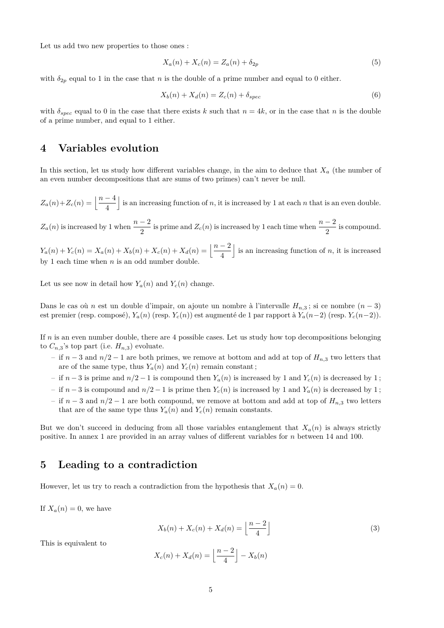Let us add two new properties to those ones :

$$
X_a(n) + X_c(n) = Z_a(n) + \delta_{2p}
$$
\n(5)

with  $\delta_{2p}$  equal to 1 in the case that *n* is the double of a prime number and equal to 0 either.

$$
X_b(n) + X_d(n) = Z_c(n) + \delta_{spec} \tag{6}
$$

with  $\delta_{spec}$  equal to 0 in the case that there exists *k* such that  $n = 4k$ , or in the case that *n* is the double of a prime number, and equal to 1 either.

## **4 Variables evolution**

In this section, let us study how different variables change, in the aim to deduce that  $X_a$  (the number of an even number decompositions that are sums of two primes) can't never be null.

 $Z_a(n) + Z_c(n) = \frac{n-4}{4}$ is an increasing function of  $n$ , it is increased by 1 at each  $n$  that is an even double.

 $Z_a(n)$  is increased by 1 when  $\frac{n-2}{2}$  is prime and  $Z_c(n)$  is increased by 1 each time when  $\frac{n-2}{2}$  is compound.

 $Y_a(n) + Y_c(n) = X_a(n) + X_b(n) + X_c(n) + X_d(n) = \left\lfloor \frac{n-2}{4} \right\rfloor$ is an increasing function of  $n$ , it is increased by 1 each time when *n* is an odd number double.

Let us see now in detail how  $Y_a(n)$  and  $Y_c(n)$  change.

Dans le cas où *n* est un double d'impair, on ajoute un nombre à l'intervalle  $H_{n,3}$ ; si ce nombre  $(n-3)$ est premier (resp. composé), *Ya*(*n*) (resp. *Yc*(*n*)) est augmenté de 1 par rapport à *Ya*(*n*−2) (resp. *Yc*(*n*−2)).

If *n* is an even number double, there are 4 possible cases. Let us study how top decompositions belonging to  $C_{n,3}$ 's top part (i.e.  $H_{n,3}$ ) evoluate.

- if *n* − 3 and *n/*2 − 1 are both primes, we remove at bottom and add at top of *Hn,*<sup>3</sup> two letters that are of the same type, thus  $Y_a(n)$  and  $Y_c(n)$  remain constant;
- if  $n-3$  is prime and  $n/2-1$  is compound then  $Y_a(n)$  is increased by 1 and  $Y_c(n)$  is decreased by 1;
- if *n* − 3 is compound and *n/*2 − 1 is prime then *Yc*(*n*) is increased by 1 and *Ya*(*n*) is decreased by 1 ;
- if *n* − 3 and *n/*2 − 1 are both compound, we remove at bottom and add at top of *Hn,*<sup>3</sup> two letters that are of the same type thus  $Y_a(n)$  and  $Y_c(n)$  remain constants.

But we don't succeed in deducing from all those variables entanglement that  $X_a(n)$  is always strictly positive. In annex 1 are provided in an array values of different variables for *n* between 14 and 100.

## **5 Leading to a contradiction**

However, let us try to reach a contradiction from the hypothesis that  $X_a(n) = 0$ .

If  $X_a(n) = 0$ , we have

$$
X_b(n) + X_c(n) + X_d(n) = \left\lfloor \frac{n-2}{4} \right\rfloor \tag{3}
$$

This is equivalent to

$$
X_c(n) + X_d(n) = \left\lfloor \frac{n-2}{4} \right\rfloor - X_b(n)
$$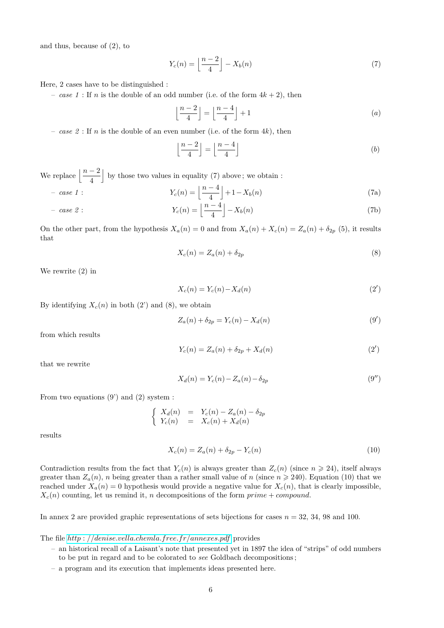and thus, because of (2), to

$$
Y_c(n) = \left\lfloor \frac{n-2}{4} \right\rfloor - X_b(n) \tag{7}
$$

Here, 2 cases have to be distinguished :

– *case 1* : If *n* is the double of an odd number (i.e. of the form  $4k + 2$ ), then

$$
\left\lfloor \frac{n-2}{4} \right\rfloor = \left\lfloor \frac{n-4}{4} \right\rfloor + 1\tag{a}
$$

– *case 2* : If *n* is the double of an even number (i.e. of the form 4*k*), then

$$
\left\lfloor \frac{n-2}{4} \right\rfloor = \left\lfloor \frac{n-4}{4} \right\rfloor \tag{b}
$$

We replace  $\left\lfloor \frac{n-2}{4} \right\rfloor$ by those two values in equality  $(7)$  above; we obtain :

$$
Y_c(n) = \left\lfloor \frac{n-4}{4} \right\rfloor + 1 - X_b(n) \tag{7a}
$$

- case 2 : 
$$
Y_c(n) = \left\lfloor \frac{n-4}{4} \right\rfloor - X_b(n)
$$
 (7b)

On the other part, from the hypothesis  $X_a(n) = 0$  and from  $X_a(n) + X_c(n) = Z_a(n) + \delta_{2p}$  (5), it results that

$$
X_c(n) = Z_a(n) + \delta_{2p} \tag{8}
$$

We rewrite (2) in

$$
X_c(n) = Y_c(n) - X_d(n) \tag{2'}
$$

By identifying  $X_c(n)$  in both  $(2')$  and  $(8)$ , we obtain

$$
Z_a(n) + \delta_{2p} = Y_c(n) - X_d(n)
$$
\n(9')

from which results

$$
Y_c(n) = Z_a(n) + \delta_{2p} + X_d(n)
$$
 (2')

that we rewrite

$$
X_d(n) = Y_c(n) - Z_a(n) - \delta_{2p}
$$
\n(9")

From two equations  $(9')$  and  $(2)$  system :

$$
\begin{cases}\nX_d(n) = Y_c(n) - Z_a(n) - \delta_{2p} \\
Y_c(n) = X_c(n) + X_d(n)\n\end{cases}
$$

results

$$
X_c(n) = Z_a(n) + \delta_{2p} - Y_c(n)
$$
\n(10)

Contradiction results from the fact that  $Y_c(n)$  is always greater than  $Z_c(n)$  (since  $n \geq 24$ ), itself always greater than  $Z_a(n)$ , *n* being greater than a rather small value of *n* (since  $n \ge 240$ ). Equation (10) that we reached under  $X_a(n) = 0$  hypothesis would provide a negative value for  $X_c(n)$ , that is clearly impossible,  $X_c(n)$  counting, let us remind it, *n* decompositions of the form  $\text{prime} + \text{compound.}$ 

In annex 2 are provided graphic representations of sets bijections for cases  $n = 32, 34, 98$  and 100.

The file *http* : *[//denise.vella.chemla.free.fr/annexes.pdf](http://denise.vella.chemla.free.fr/annexes.pdf)* provides

- an historical recall of a Laisant's note that presented yet in 1897 the idea of "strips" of odd numbers to be put in regard and to be colorated to *see* Goldbach decompositions ;
- a program and its execution that implements ideas presented here.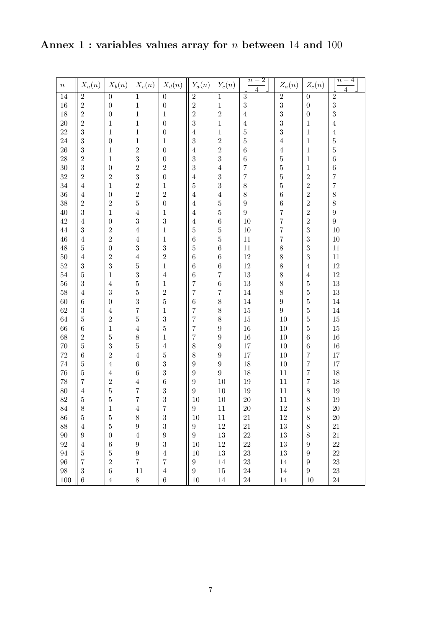**Annex 1 : variables values array for** *n* **between** 14 **and** 100

| $\, n$          | $X_a(n)$         | $X_b(n)$         | $X_c(n)$                | $X_d(n)$         | $Y_a(n)$         | $Y_c(n)$         | $\frac{-2}{\sqrt{2}}$<br>$\overline{n}$ | $\mathcal{Z}_a(n)$ | $Z_c(n)$         | $n-4$            |
|-----------------|------------------|------------------|-------------------------|------------------|------------------|------------------|-----------------------------------------|--------------------|------------------|------------------|
| $\overline{14}$ | $\overline{2}$   | $\overline{0}$   | $\overline{1}$          | $\overline{0}$   | $\overline{2}$   | $\overline{1}$   | $\overline{3}$                          | $\overline{2}$     | $\overline{0}$   | $\overline{2}$   |
| 16              | $\overline{2}$   | $\overline{0}$   | $\,1\,$                 | $\overline{0}$   | $\overline{2}$   | $\,1$            | $\overline{3}$                          | 3                  | $\boldsymbol{0}$ | $\overline{3}$   |
| 18              | $\overline{2}$   | $\overline{0}$   | $\,1\,$                 | $\,1\,$          | $\overline{2}$   | $\overline{2}$   | $\sqrt{4}$                              | 3                  | $\boldsymbol{0}$ | $\overline{3}$   |
| 20              | $\overline{2}$   | $\,1$            | $\,1$                   | $\overline{0}$   | $\overline{3}$   | $\,1$            | $\overline{4}$                          | 3                  | $\mathbf{1}$     | $\,4\,$          |
| 22              | 3                | $\,1$            | $\,1$                   | $\overline{0}$   | $\sqrt{4}$       | $\,1$            | $\overline{5}$                          | 3                  | $\,1$            | $\,4\,$          |
| 24              | $\boldsymbol{3}$ | $\overline{0}$   | $\frac{1}{2}$           | $\mathbf{1}$     | $\overline{3}$   | $\boldsymbol{2}$ | $\bf 5$                                 | $\overline{4}$     | $\,1$            | $\bf 5$          |
| 26              | $\boldsymbol{3}$ | $\,1$            |                         | $\overline{0}$   | $\sqrt{4}$       | $\sqrt{2}$       | $\overline{6}$                          | $\overline{4}$     | $\,1$            | $\overline{5}$   |
| $28\,$          | $\sqrt{2}$       | $\,1$            | $\overline{\mathbf{3}}$ | $\overline{0}$   | $\overline{3}$   | $\overline{3}$   | $\,$ 6 $\,$                             | $\overline{5}$     | $\,1$            | $\,6$            |
| $30\,$          | $\overline{3}$   | $\boldsymbol{0}$ | $\overline{2}$          | $\overline{2}$   | $\overline{3}$   | $\sqrt{4}$       | $\frac{7}{7}$                           | $\overline{5}$     | $\,1$            | $\,6$            |
| $32\,$          | $\sqrt{2}$       | $\overline{2}$   | $\overline{\mathbf{3}}$ | $\overline{0}$   | $\sqrt{4}$       | $\sqrt{3}$       |                                         | $\overline{5}$     | $\overline{2}$   | $\overline{7}$   |
| 34              | $\overline{4}$   | $\,1$            | $\overline{2}$          | $\mathbf{1}$     | $\overline{5}$   | $\overline{3}$   | 8                                       | $\overline{5}$     | $\overline{2}$   | $\overline{7}$   |
| 36              | $\overline{4}$   | $\boldsymbol{0}$ | $\overline{2}$          | $\overline{2}$   | $\,4\,$          | $\sqrt{4}$       | $\,8\,$                                 | $\overline{6}$     | $\overline{2}$   | $\,8\,$          |
| $38\,$          | $\sqrt{2}$       | $\overline{2}$   | $\bf 5$                 | $\overline{0}$   | $\,4\,$          | $\bf 5$          | $\boldsymbol{9}$                        | $\,$ 6 $\,$        | $\overline{2}$   | $\,8\,$          |
| 40              | $\sqrt{3}$       | $\,1$            | $\sqrt{4}$              | $\mathbf{1}$     | $\,4\,$          | $\bf 5$          | $\boldsymbol{9}$                        | $\overline{7}$     | $\overline{2}$   | $\boldsymbol{9}$ |
| 42              | $\overline{4}$   | $\boldsymbol{0}$ | $\sqrt{3}$              | 3                | $\,4\,$          | $\,6$            | 10                                      | $\overline{7}$     | $\overline{2}$   | $\overline{9}$   |
| 44              | $\sqrt{3}$       | $\overline{2}$   | $\sqrt{4}$              | $\,1$            | $\overline{5}$   | $\bf 5$          | $10\,$                                  | $\overline{7}$     | $\boldsymbol{3}$ | $10\,$           |
| $46\,$          | $\overline{4}$   | $\sqrt{2}$       | $\,4\,$                 | $\mathbf 1$      | $\sqrt{6}$       | $\bf 5$          | 11                                      | $\overline{7}$     | $\boldsymbol{3}$ | $10\,$           |
| 48              | $\bf 5$          | $\boldsymbol{0}$ | $\sqrt{3}$              | 3                | $\overline{5}$   | $\,6$            | 11                                      | 8                  | $\boldsymbol{3}$ | $11\,$           |
| $50\,$          | $\overline{4}$   | $\overline{2}$   | $\,4\,$                 | $\overline{2}$   | $\sqrt{6}$       | $\,6$            | $12\,$                                  | 8                  | $\boldsymbol{3}$ | $11\,$           |
| $52\,$          | $\sqrt{3}$       | 3                | $\overline{5}$          | $\,1$            | $\,6$            | $\,$ 6 $\,$      | $12\,$                                  | 8                  | $\overline{4}$   | $12\,$           |
| $54\,$          | $\bf 5$          | $\,1$            | $\sqrt{3}$              | $\overline{4}$   | $\sqrt{6}$       | $\overline{7}$   | 13                                      | 8                  | $\overline{4}$   | 12               |
| $56\,$          | $\sqrt{3}$       | $\overline{4}$   | $\overline{5}$          | $\,1$            | $\frac{7}{7}$    | $\,6$            | 13                                      | 8                  | $\bf 5$          | $13\,$           |
| $58\,$          | $\overline{4}$   | $\overline{3}$   | $\overline{5}$          | $\frac{2}{5}$    |                  | $\overline{7}$   | $14\,$                                  | 8                  | $\bf 5$          | $13\,$           |
| $60\,$          | $\,$ 6 $\,$      | $\boldsymbol{0}$ | $\frac{3}{7}$           |                  | $\sqrt{6}$       | $\,8$            | $14\,$                                  | $\overline{9}$     | $\bf 5$          | $14\,$           |
| $62\,$          | $\boldsymbol{3}$ | $\overline{4}$   |                         | $\,1$            | $\overline{7}$   | $\,8$            | 15                                      | $\overline{9}$     | $\bf 5$          | $14\,$           |
| 64              | $\overline{5}$   | $\overline{2}$   | $\bf 5$                 | 3                | $\overline{7}$   | $\,8$            | $15\,$                                  | $10\,$             | $\overline{5}$   | $15\,$           |
| 66              | $\,6\,$          | $\,1$            | $\sqrt{4}$              | $\overline{5}$   | $\overline{7}$   | $\boldsymbol{9}$ | 16                                      | $10\,$             | $\bf 5$          | $15\,$           |
| 68              | $\sqrt{2}$       | $\bf 5$          | 8                       | $\,1$            | $\overline{7}$   | $\boldsymbol{9}$ | 16                                      | $10\,$             | $\,6\,$          | $16\,$           |
| 70              | $\overline{5}$   | 3                | $\bf 5$                 | $\overline{4}$   | 8                | $\boldsymbol{9}$ | $17\,$                                  | $10\,$             | $\,6\,$          | $16\,$           |
| 72              | $\,6\,$          | $\overline{2}$   | $\sqrt{4}$              | $\overline{5}$   | 8                | $\boldsymbol{9}$ | 17                                      | $10\,$             | $\overline{7}$   | $17\,$           |
| 74              | $\bf 5$          | $\overline{4}$   | $\,$ 6 $\,$             | 3                | $\boldsymbol{9}$ | $\boldsymbol{9}$ | 18                                      | $10\,$             | $\overline{7}$   | $17\,$           |
| 76              | $\bf 5$          | $\,4\,$          | $\,6\,$                 | 3                | $\boldsymbol{9}$ | $\overline{9}$   | 18                                      | $11\,$             | $\overline{7}$   | $18\,$           |
| 78              | $\overline{7}$   | $\overline{2}$   | $\sqrt{4}$              | $\overline{6}$   | $\boldsymbol{9}$ | 10               | 19                                      | $11\,$             | $\overline{7}$   | $18\,$           |
| 80              | $\overline{4}$   | $\bf 5$          | $\overline{7}$          | 3                | $\overline{9}$   | $10\,$           | 19                                      | $11\,$             | $8\,$            | $19\,$           |
| $82\,$          | $\overline{5}$   | $\overline{5}$   | $\overline{7}$          | 3                | $10\,$           | $10\,$           | 20                                      | $11\,$             | 8                | 19               |
| 84              | 8                | 1                | 4                       | $\overline{7}$   | 9                | 11               | $20\,$                                  | 12                 | 8                | 20               |
| $86\,$          | $\overline{5}$   | $\bf 5$          | $8\,$                   | $\sqrt{3}$       | 10               | 11               | $21\,$                                  | $12\,$             | $8\,$            | $20\,$           |
| 88              | $\overline{4}$   | $\overline{5}$   | $\boldsymbol{9}$        | 3                | $9\phantom{.0}$  | 12               | $21\,$                                  | $13\,$             | $8\,$            | $21\,$           |
| $90\,$          | $\boldsymbol{9}$ | $\boldsymbol{0}$ | $\,4\,$                 | $\boldsymbol{9}$ | $9\phantom{.0}$  | $13\,$           | $22\,$                                  | $13\,$             | $8\,$            | $21\,$           |
| $92\,$          | $\overline{4}$   | $\,6$            | $\boldsymbol{9}$        | 3                | 10               | $12\,$           | $22\,$                                  | $13\,$             | $\boldsymbol{9}$ | 22               |
| $94\,$          | $\bf 5$          | $\overline{5}$   | $\boldsymbol{9}$        | $\overline{4}$   | 10               | $13\,$           | 23                                      | $13\,$             | $\boldsymbol{9}$ | 22               |
| $96\,$          | $\overline{7}$   | $\overline{2}$   | $\overline{7}$          | 7                | $9\phantom{.0}$  | 14               | 23                                      | 14                 | $\overline{9}$   | 23               |
| $98\,$          | $\sqrt{3}$       | $\boldsymbol{6}$ | 11                      | $\overline{4}$   | $9\phantom{.0}$  | 15               | $24\,$                                  | 14                 | $\,9$            | $\bf 23$         |
| $100\,$         | $\,6\,$          | $\overline{4}$   | $8\,$                   | $\,6$            | 10               | 14               | $24\,$                                  | 14                 | 10               | $24\,$           |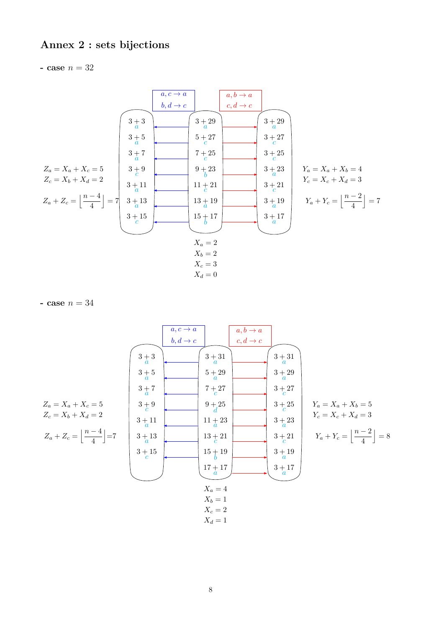# Annex 2 : sets bijections

- case  $n = 32$ 

| $a, c \rightarrow a$                           | $a, b \rightarrow a$ |           |          |                       |                       |          |          |          |          |          |          |          |          |          |          |          |                       |
|------------------------------------------------|----------------------|-----------|----------|-----------------------|-----------------------|----------|----------|----------|----------|----------|----------|----------|----------|----------|----------|----------|-----------------------|
| $b, d \rightarrow c$                           | $c, d \rightarrow c$ |           |          |                       |                       |          |          |          |          |          |          |          |          |          |          |          |                       |
| $3 + 3$                                        | $3 + 29$             | $3 + 29$  |          |                       |                       |          |          |          |          |          |          |          |          |          |          |          |                       |
| $3 + 3$                                        | $3 + 29$             | $3 + 29$  |          |                       |                       |          |          |          |          |          |          |          |          |          |          |          |                       |
| $3 + 5$                                        | $5 + 27$             | $3 + 27$  |          |                       |                       |          |          |          |          |          |          |          |          |          |          |          |                       |
| $3 + 7$                                        | $7 + 25$             | $3 + 25$  |          |                       |                       |          |          |          |          |          |          |          |          |          |          |          |                       |
| $2a = X_a + X_c = 5$                           | $3 + 9$              | $9 + 23$  | $3 + 23$ | $Y_a = X_a + X_b = 4$ |                       |          |          |          |          |          |          |          |          |          |          |          |                       |
| $Z_c = X_b + X_d = 2$                          | $3 + 11$             | $11 + 21$ | $3 + 21$ | $3 + 23$              | $Y_a = X_c + X_d = 3$ |          |          |          |          |          |          |          |          |          |          |          |                       |
| $Z_a + Z_c = \left[ \frac{n-4}{4} \right] = 7$ | $3 + 13$             | $13 + 19$ | $3 + 19$ | $3 + 19$              | $3 + 19$              | $3 + 17$ | $3 + 17$ | $3 + 17$ | $3 + 17$ | $3 + 17$ | $3 + 17$ | $3 + 17$ | $3 + 17$ | $3 + 17$ | $3 + 17$ | $3 + 17$ | <math< td=""></math<> |

- case  $n = 34$ 

| $a, c \rightarrow a$                           | $a, b \rightarrow a$ |           |          |                       |                                              |
|------------------------------------------------|----------------------|-----------|----------|-----------------------|----------------------------------------------|
| $b, d \rightarrow c$                           | $c, d \rightarrow c$ |           |          |                       |                                              |
| $3 + 3$                                        | $3 + 31$             | $3 + 31$  |          |                       |                                              |
| $3 + 3$                                        | $3 + 31$             | $3 + 31$  |          |                       |                                              |
| $3 + 3$                                        | $5 + 29$             | $3 + 31$  |          |                       |                                              |
| $3 + 7$                                        | $7 + 27$             | $3 + 27$  |          |                       |                                              |
| $Z_a = X_a + X_c = 5$                          | $3 + 9$              | $4 + 25$  | $3 + 25$ |                       |                                              |
| $Z_c = X_b + X_d = 2$                          | $3 + 11$             | $11 + 23$ | $3 + 23$ | $Y_c = X_c + X_d = 3$ |                                              |
| $Z_a + Z_c = \left[ \frac{n-4}{4} \right] = 7$ | $3 + 13$             | $13 + 21$ | $3 + 21$ | $3 + 21$              | $4 + Y_c = \left[ \frac{n-2}{4} \right] = 8$ |
| $3 + 15$                                       | $15 + 19$            | $3 + 17$  | $3 + 17$ |                       |                                              |
| $X_a = 4$                                      | $X_b = 1$            | $X_c = 2$ |          |                       |                                              |
| $X_d = 1$                                      | $X_d = 1$            |           |          |                       |                                              |